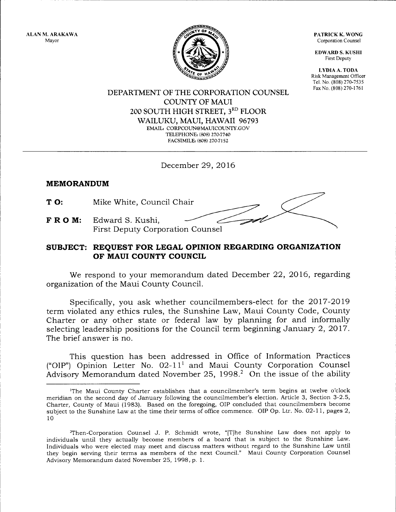ALAN M. ARAKAWA Mayor

PATRICK K, WONG Corporation Counsel

EDWARD S. KUSHI First Deputy

I,YDIA A. TODA Risk Management Officer Tel. No. (808) 270-7535 Fax No. (808) 270-1761



DEPARTMENT OF THE CORPORATION COLINSEL COUNTY OF MAUI 2OO SOUTH HIGH STREET, 3RD FLOOR WAILUKU, MAUI, HAWAII 96793 EMAIL: CORPCOUN@MAUICOUNTY.GOV TELEPHONE: (808) 270-7740 FACSIMILE: (808) 270-7152

December 29,2016

## MEMORANDUM

TO: Mike White, Council Chair

FROM: Edward S. Kushi, First Deputy Corporation Counsel

# SUBJECT: REQUEST FOR LEGAL OPINION REGARDING ORGANIZATION OF MAUI COUNTY COUNCIL

We respond to your memorandum dated December 22, 2016, regarding organization of the Maui County Council.

Specifically, you ask whether councilmembers-elect for the 2OI7-2019 term violated any ethics rules, the Sunshine Law, Maui County Code, County Charter or any other state or federal law by planning for and informally selecting leadership positions for the Council term beginning January 2, 2017. The brief answer is no.

This question has been addressed in Office of Information Practices ("OIP") Opinion Letter No. 02-11<sup>1</sup> and Maui County Corporation Counsel Advisory Memorandum dated November 25, 1998.<sup>2</sup> On the issue of the ability

<sup>&#</sup>x27;The Maui County Charter establishes that a councilmember's term begins at twelve o'clock meridian on the second day of January following the councilmember's election. Article 3, Section 3-2.5, Charter, County of Maui (1983). Based on the foregoing, OIP concluded that councilmembers become subject to the Sunshine Law at the time their terms of office commence. OIP Op. Ltr. No. O2-ll, pages 2, 10

<sup>2</sup>Then-Corporation Counsel J. P. Schmidt wrote, "[T]he Sunshine Law does not apply to individuals until they actually become members of a board that is subject to the Sunshine Law. Individuals who were elected may meet and discuss matters without regard to the Sunshine Law until they begin serving their terms as members of the next Council." Maui County Corporation Counsel Advisory Memorandum dated November 25, 1998,p. l.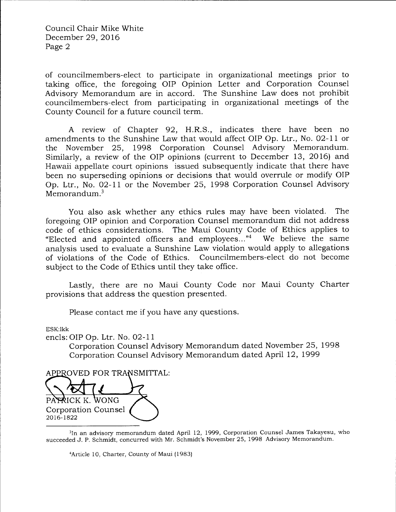Council Chair Mike White December 29, 2016 Page 2

of councilmembers-elect to participate in organizational meetings prior to taking office, the foregoing OIP Opinion Letter and Corporation Counsel Advisory Memorandum are in accord. The Sunshine Law does not prohibit councilmembers-elect from participating in organizational meetings of the County Council for a future council term.

A review of Chapter 92, H.R.S., indicates there have been no amendments to the Sunshine Law that would affect OIP Op. Ltr., No. O2-LL or the November 25, 1998 Corporation Counsel Advisory Memorandum. Similarly, a review of the OIP opinions (current to December 13, 2016) and Hawaii appellate court opinions issued subsequently indicate that there have been no superseding opinions or decisions that would overrule or modify OIP Op. Ltr., No. O2-ll or the November 25, 1998 Corporation Counsel Advisory Memorandum.<sup>3</sup>

You also ask whether any ethics rules may have been violated. The foregoing OIP opinion and Corporation Counsel memorandum did not address code of ethics considerations. The Maui County Code of Ethics applies to "Elected and appointed officers and emp1oyees..."4 We believe the same analysis used to evaluate a Sunshine Law violation would apply to allegations of violations of the Code of Ethics. Councilmembers-elect do not become subject to the Code of Ethics until they take office.

Lastly, there are no Maui County Code nor Maui County Charter provisions that address the question presented.

Please contact me if you have any questions.

ESK:lkk

encls:OIP Op. Ltr. No. O2-ll

Corporation Counsel Advisory Memorandum dated November 25, 1998 Corporation Counsel Advisory Memorandum dated April 12, 1999

APPROVED FOR TRANSMITTAL:

PATRICK K. WONG Corporation Counsel 20t6-t822

<sup>3</sup>In an advisory memorandum dated April 12, 1999, Corporation Counsel James Takayesu, who succeeded J, P. Schmidt, concurred with Mr. Schmidt's November 25, 1998 Advisory Memorandum.

<sup>4</sup>Article 10, Charter, County of Maui (1983)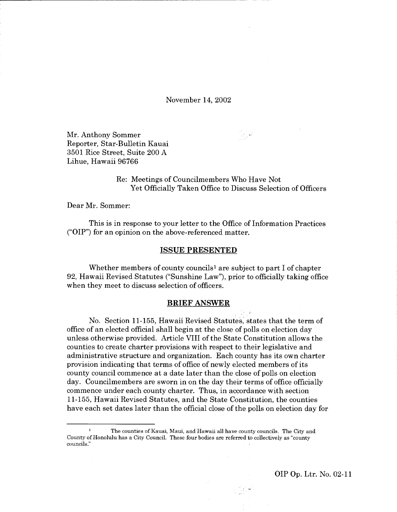November 14,20Oz

Mr. Anthony Sommer Reporter, Star-Bulletin Kauai 3501 Rice Street, Suite 200 A Lihue, Hawaii 96766

> Re: Meetings of Councilmembers Who Have Not Yet Officially Taken Office to Discuss Selection of Officers

Dear Mr. Sommer:

This is in response to your letter to the Office of Information Practices ('OIP") for an opinion on the above-referenced matter.

#### ISSUE PRESENTED

Whether members of county councils<sup>1</sup> are subject to part I of chapter 92, Hawaii Revised Statutes ("Sunshine Law"), prior to officially taking office when they meet to discuss selection of officers.

#### BRIEF ANSWER

No. Section 11-155, Hawaii Revised. Statutes, states that the term of office of an elected official shall begin at the close of polls on election day unless otherwise provided. Article VIII of the State Constitution allows the counties to create charter provisions with respect to their legislative and administrative structure and organization. Each county has its own charter provision indicating that terms of office of newly elected members of its county council commence at a date later than the close of polls on election day. Councilmembers are sworn in on the day their terms of office officially commence under each county charter. Thus, in accordance with section 11-155, Hawaii Revised Statutes, and the State Constitution, the counties have each set dates later than the official close of the polls on election day for

OIP Op. Ltr. No. 02-11

The counties of Kauai, Maui, and Hawaii all have county councils. The City and County of Honolulu has a City Council. These four bodies are referred to collectively as "county councils."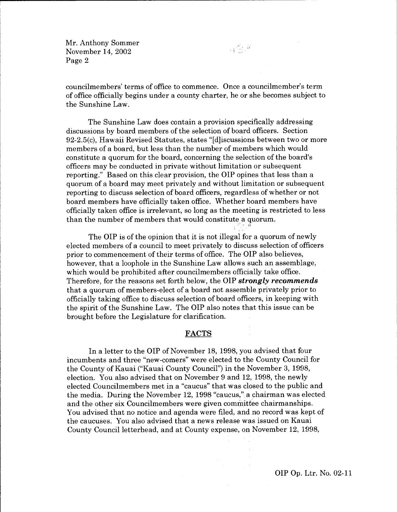councilmembers' terms of office to commence. Once a councilmember's term of office officially begins under a county charter, he or she becomes subject to the Sunshine Law.

 $\label{eq:2} \mathcal{L}_{\text{max}}^{\text{max}} \mathcal{L}_{\text{max}}^{\text{max}}$ 

The Sunshine Law does contain a provision specifically addressing discussions by board members of the selection of board officers. Section 92-2.5(c), Hawaii Revised Statutes, states "[d]iscussions between two or more members of a board, but less than the number of members which would constitute a quorum for the board, concerning the selection of the board's officers may be conducted in private without limitation or subsequent reporting." Based on this clear provision, the OIP opines that less than a quorum of a board may meet privately and without limitation or subsequent reporting to discuss selection of board officers, regardless of whether or not board members have officially taken office. Whether board members have officially taken office is irrelevant, so long as the meeting is restricted to less than the number of members that would constitute a quorum.

The OIP is of the opinion that it is not illegal for a quorum of newly elected members of a council to meet privately to discuss selection of officers prior to commencement of their terms of office. The OIP also believes, however, that a loophole in the Sunshine Law allows such an assemblage, which would be prohibited after councilmembers officially take office. Therefore, for the reasons set forth below, the OIP **strongly recommends** that a quorum of members-elect of a board not assemble privately prior to officially taking office to discuss selection of board offieers, in keeping with the spirit of the Sunshine Law. The OIP also notes that this issue can be brought before the Legislature for clarification.

#### FACTS

In a letter to the OIP of November 18, 1998, you advised that four incumbents and three "new-comers" were elected to the County Council for the County of Kauai ("Kauai County Council") in the November 3, 1998, election. You also advised that on November 9 and 12, 1998, the newly elected Councilmembers met in a "caucus" that was closed to the public and the media. During the November 12, 1998 "caucus," a chairman was elected and the other six Councilmembers were given committee chairmanships. You advised that no notice and agenda were filed, and no record was kept of the caucuses. You also advised that a news release was issued on Kauai County Council letterhead, and at County expense, on November 12,1998,

OIP Op. Ltr. No. 02-ll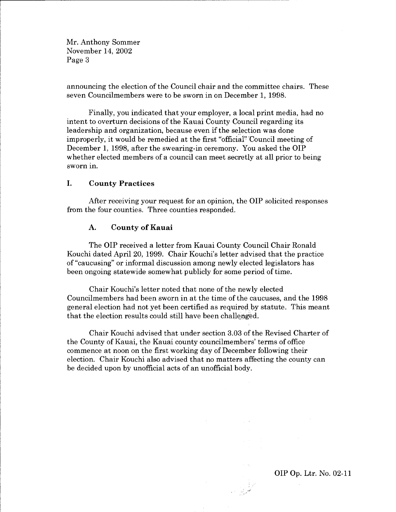announcing the election of the Council chair and the committee chairs. These seven Councilmembers were to be sworn in on December 1, 1998.

Finally, you indicated that your employer, a local print media, had no intent to overturn decisions of the Kauai County Council regarding its Ieadership and organization, because even if the selection was done improperly, it would be remedied at the first "official"'Council meeting of December 1, 1998, after the swearing-in ceremony. You asked the OIP whether elected members of a council can meet secretly at all prior to being sworn in.

## I. County Practices

After receiving your request for an opinion, the OIP solicited responses from the four counties. Three counties responded.

#### A. County of Kauai

The OIP received a letter from Kauai County Council Chair Ronald Kouchi dated April 20, 1999. Chair Kouchi's letter advised that the practice of "caucusing" or informal discussion among newly elected legislators has been ongoing statewide somewhat publicly for some period of time.

Chair Kouchi's letter noted that none of the newly elected Councilmembers had been sworn in at the time of the caucuses, and the 1998 general election had not yet been certified as required by statute. This meant that the election results could still have been challenged.

Chair Kouchi advised that under section 3.03 of the Revised Charter of the County of Kauai, the Kauai county councilmembers' terms of office commence at noon on the first working day of December following their election. Chair Kouchi also advised that no matters affecting the county can be decided upon by unofficial acts of an unofficial body.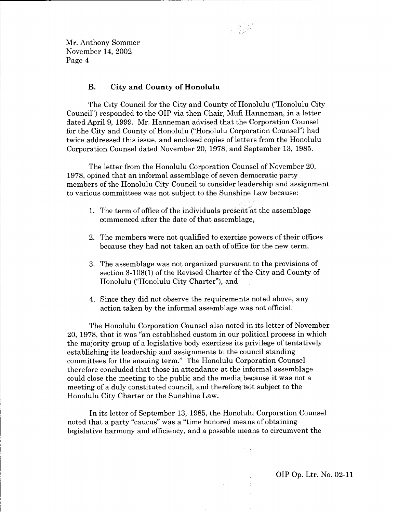## B. City and County of Honolulu

The City Council for the City and County of Honolulu ("Honolulu City Council") responded to the OIP via then Chair, Mufi Hanneman, in a letter dated April 9, 1999. Mr. Hanneman advised that the Corporation Counsel for the City and County of Honolulu ("Honolulu Corporation Counsel") had twice addressed this issue, and enclosed copies of letters from the Honolulu Corporation Counsel dated November 20, 1978, and September 13, 1985.

 $\frac{1}{2}$ 

The letter from the Honolulu Corporation Counsel of November 20, 1978, opined that an informal assemblage of seven democratic party members of the Honolulu City Council to consider leadership and assignment to various committees was not subject to the Sunshine l,aw because:

- 1. The term of office of the individuals present  $\tilde{a}$ t the assemblage commenced after the date of that assemblage,
- The members were not qualified to exercise powers of their offices 2. because they had not taken an oath of office for the new term,
- The assemblage was not organized pursuant to the provisions of D. section 3-108(1) of the Revised Charter of the City and County of Honolulu ("Honolulu City Charter"), and
- 4. Since they did not observe the requirements noted above, any action taken by the informal assemblage was not official.

The Honolulu Corporation Counsel also noted in its letter of November 20, 1978, that it was "an established custom in our political process in which the majority group of a legislative body exercises its privilege of tentatively establishing its leadership and assignments to the council standing committees for the ensuing term." The Honolulu Corporation Counsel therefore concluded that those in attendance at the informal assemblage could close the meeting to the public and the media because it was not <sup>a</sup> meeting of a duly constituted council, and therefore, not subject to the Honolulu City Charter or the Sunshine Law.

In its letter of September 13, 1985, the Honolulu Corporation Counsel noted that a party "caucus" was a "time honored means of obtaining legislative harmony and efficiency, and a possible means to circumvent the

OIP Op. Ltr. No. 02-lI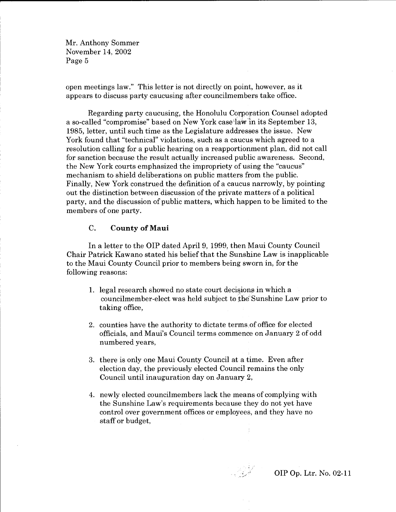open meetings law." This letter is not directly on point, however, as it appears to discuss party caucusing after councilmembers take office.

Regarding party caucusing, the Honolulu Corporation Counsel adopted a so-called "compromise" based on New York caseilaw"in its September 13, 1985, letter, until such time as the Legislature addresses the issue. New York found that "technical" violations, such as a caucus which agreed to a resolution calling for a public hearing on a reapportionment plan, did not call for sanction because the result actually increased public awareness. Second, the New York courts emphasized the impropriety of using the "caucus" mechanism to shield deliberations on public matters from the public. Finally, New York construed the definition of a caucus narrowly, by pointing out the distinction between discussion of the private matters of a political party, and the discussion of public matters, which happen to be limited to the members of one party.

## C. County of Maui

In a letter to the OIP dated April 9, 1999, then Maui County Council Chair Patrick Kawano stated his belief that the Sunshine Law is inapplicable to the Maui County Council prior to members being sworn in, for the following reasons:

- 1. legal research showed no state court decisions in which a councilmember-elect was held subject to the Sunshine Law prior to taking office,
- 2. counties have the authority to dictate terms,of office for elected officials, and Maui's Council terms commence on January 2 of odd numbered years,
- 3. there is only one Maui County Council at a time. Even after election day, the previously elected Council remains the only Council until inauguration day on January 2,
- 4. newly elected councilmembers lack the means of complying with the Sunshine Law's requirements because they do not yet have control over government offices or employees, and they have no staff or budget,

ł.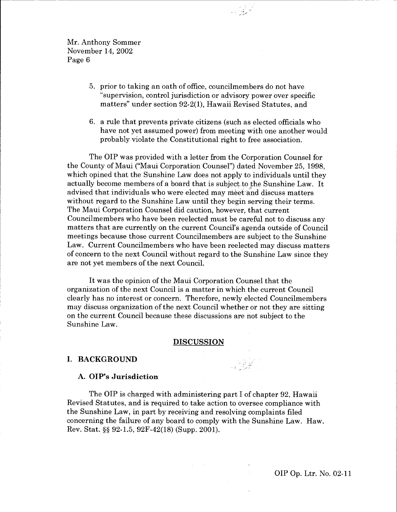- 5. prior to taking an oath of office, councilmembers do not have "supervision, control jurisdiction or advisory power over specific matters" under section 92-2(1), Hawaii Revised Statutes, and
- a rule that prevents private citizens (such as elected officials who 6. have not yet assumed power) from meeting with one another would probably violate the Constitutional right to free association.

The OIP was provided with a letter from the Corporation Counsel for the County of Maui ("Maui Corporation Counsel") dated November 25, 1998, which opined that the Sunshine Law does not apply to individuals until they actually become members of a board that is subject to the Sunshine Law. It advised that individuals who were elected may meet and discuss matters without regard to the Sunshine Law until they begin serving their terms. The Maui Corporation Counsel did caution, however, that current Councilmembers who have been reelected must be careful not to discuss any matters that are currently on the current Council's agenda outside of Council meetings because those current Councilmembers are subject to the Sunshine Law. Current Councilmembers who have been reelected may discuss matters of concern to the next Council without regard to the Sunshine Law since they are not yet members of the next Council.

It was the opinion of the Maui Corporation Counsel that the organtzation of the next Council is a matter in which the current Council clearly has no interest or concern. Therefore, newly elected Councilmembers may discuss organization of the next Council whether or not they are sitting on the current Council because these discussions are not subject to the Sunshine Law.

#### **DISCUSSION**

## I. BACKGROUND

#### A. OIP's Jurisdiction

The OIP is charged with administering part I of chapter 92, Hawaii Revised Statutes, and is required to take action to oversee compliance with the Sunshine Law, in part by receiving and resolving complaints filed concerning the failure of any board to comply with the Sunshine Law. Haw. Rev. Stat. \$\$ 92-1.5, 92F-42(L8) (Supp. 2001).

OIP Op. Ltr. No. 02-11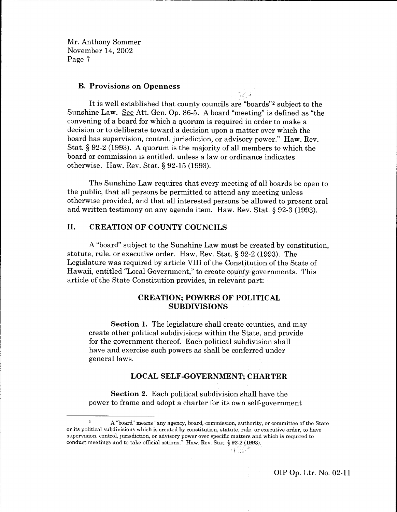#### B. Provisions on Openness

It is well established that county councils are "boards"<sup>2</sup> subject to the Sunshine Law. See Att. Gen. Op. 86-5. A board "meeting" is defined as "the convening of a board for which a quorum is required in order to make a decision or to deliberate toward a decision upon a matter over which the board has supervision, control, jurisdiction, or advisory power." Haw. Rev. Stat.  $\S 92-2$  (1993). A quorum is the majority of all members to which the board or commission is entitled, unless a law or ordinance indicates otherwise. Haw. Rev. Stat. S 92-15 (1993).

The Sunshine Law requires that every meeting of all boards be open to the public, that all persons be permitted to attend any meeting unless otherwise provided, and that all interested persons be allowed to present oral and written testimony on any agenda item. Haw. Rev. Stat. § 92-3 (1993).

## II. CREATION OF COUNTY COUNCILS

A "board" subject to the Sunshine Law must be created by constitution, statute, rule, or executive order. Haw. Rev. Stat. S 92-2 (1993). The Legislature was required by article VIII of the Constitution of the State of Hawaii, entitled "Local Government," to create county governments. This article of the State Constitution provides, in relevant part:

## CREATION; POWERS OF POLITICAL SUBDIVISIONS

Section 1. The legislature shall create counties, and may create other political subdivisions within the State, and provide for the government thereof. Each political subdivision shall have and exercise such powers as shall be conferred under general laws.

#### LOCAL SELF-GOVERNMENT; CHARTER

Section 2. Each political subdivision shall have the power to frame and adopt a charter for its own self-government

-i

<sup>2</sup> A "board' means "any agency, board, commission, authority, or committee of the State or its political subdivisions which is created by constitution, statute, rule, or executive order, to have supervision, control, jurisdiction, or advisory power over specfic matters and which is required to conduct meetings and to take official actions." Haw. Rev. Stat. § 92-2 (1993).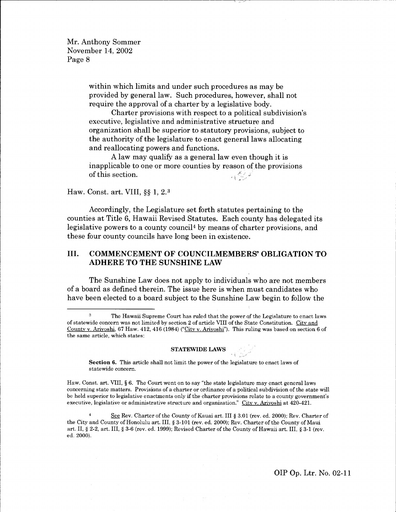> within which limits and under such procedures as may be provided by general law. Such procedures, however, shall not require the approval of a charter by a legislative body.

Charter provisions with respect to a political subdivision's executive, legislative and administrative structure and organization shall be superior to statutory provisions, subject to the authority of the legislature to enact general laws allocating and reallocating powers and functions.

of this section. A law may qualify as a general law even though it is inapplicable to one or more counties by reason of the provisions  $\rightarrow$  (  $\frac{d^2y}{dy^2}$  ).

## Haw. Const. art. VIII, §§ 1, 2.<sup>3</sup>

Accordingly, the Legislature set forth statutes pertaining to the counties at Title 6, Hawaii Revised Statutes. Each county has delegated its legislative powers to a county council<sup>4</sup> by means of charter provisions, and these four county councils have long been in existence.

## III. COMMENCEMENT OF COUNCILMEMBERS' OBLIGATION TO ADHERE TO THE SUNSHINE LAW

The Sunshine Law does not apply to individuals who are not members of a board as defined therein. The issue here is when must candidates who have been elected to a board subject to the Sunshine Law begin to follow the

#### $\operatorname{\bf STATEWIDE}$  LAWS

Section 6. This article shall not limit the power of the legislature to enact laws of statewide concern.

Haw. Const. art. VIII, S 6. The Court went on to say "the state legislature may enact general laws concerning state matters. Provisions of a charter or ordinance of a political subdivision of the state will be held superior to legislative enactments only if the charter provisions relate to a county government's executive, legislative or administrative structure and organization." City v. Arivoshi at 420-421.

See Rev. Charter of the County of Kauai art. III § 3.01 (rev. ed. 2000); Rev. Charter of the City and County of Honolulu art. III, § 3-101 (rev. ed. 2000); Rev. Charter of the County of Maui art. II, § 2-2, art. III, § 3-6 (rev. ed. 1999); Revised Charter of the County of Hawaii art. III, § 3-1 (rev. ed. 2000).

The Hawaii Supreme Court has ruled that the power of the Legislature to enact laws of statewide concern was not limited by section 2 of article \rIII of the State Constitution. Citv and County v. Ariyoshi, 67 Haw. 412, 416 (1984) ("City v. Ariyoshi"). This ruling was based on section 6 of the same article, which states: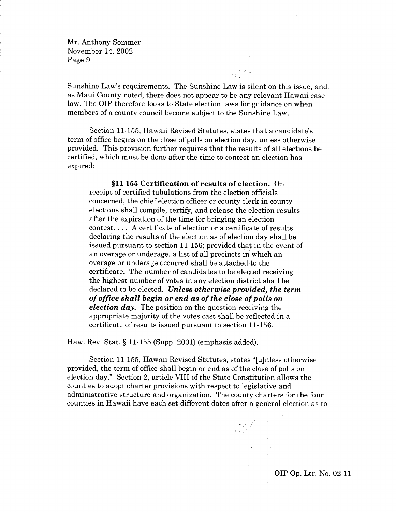Sunshine Law's requirements. The Sunshine Law is silent on this issue, and, as Maui County noted, there does not appear to be any relevant Hawaii case law. The OIP therefore looks to State election laws for guidance on when members of a county council become subject to the Sunshine Law.

 $\begin{array}{c} \begin{matrix} \sqrt{2} & \sqrt{2} & \sqrt{2} \\ \sqrt{2} & \sqrt{2} & \sqrt{2} \end{matrix} \end{array}$ 

Section 11-155, Hawaii Revised Statutes, states that a candidate's term of office begins on the close of polls on election day, unless otherwise provided. This provision further requires that the results of all elections be certified, which must be done after the time to contest an election has expired:

511-155 Certification of results of election. On receipt of certified tabulations from the election officials concerned, the chief election officer or county clerk in county elections shall compile, certify, and release the election results after the expiration of the time for bringing an election contest. . . . A certificate of election or a certificate of results declaring the results of the election as of election day shall be issued pursuant to section 11-156; provided that in the event of an overage or underage, a list of all precincts in which an overage or underage occurred shall be attached to the certificate. The number of candidates to be elected receiving the highest number of votes in any election district shall be declared to be elected. Unless otherwise provided, the term of office shall begin or end as of the close of polls on election  $\boldsymbol{d}$ ay. The position on the question receiving the appropriate majority of the votes cast shall be reflected in a certificate of results issued pursuant to section 11-156.

Haw. Rev. Stat.  $\S 11-155$  (Supp. 2001) (emphasis added).

Section 11-155, Hawaii Revised Statutes, states "[u]nless otherwise provided, the term of office shall begin or end as of the close of polls on election day." Section 2, article VIII of the State Constitution allows the counties to adopt charter provisions with respect to legislative and administrative structure and organization. The county charters for the four counties in Hawaii have each set different dates after a general election as to

 $\mathcal{N}=\mathcal{N}$ 

OIP Op. Ltr. No. 02-11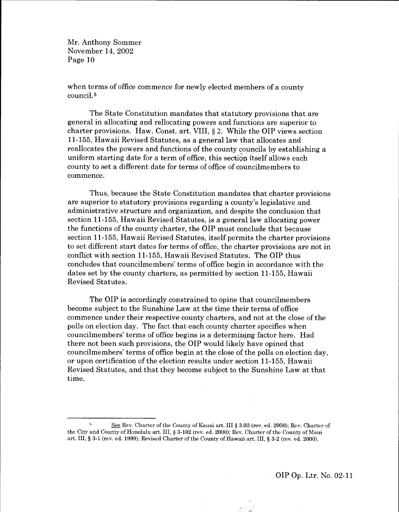when terms of office commence for newly elected members of a county council.<sup>5</sup>

The State Constitution mandates that statutory provisions that are general in allocating and rellocating powers and functions are superior to charter provisions. Haw. Const. art. VIII, g 2. While the OIP views section 11-155, Hawaii Revised Statutes, as a general law that allocates and reallocates the powers and functions of the county couneils by establishing a uniform starting date for a term of office, this section itself allows each county to set a different date for terms of office of councilmembers to commence.

Thus, because the State Constitution mandates that charter provisions are superior to statutory provisions regarding a county's legislative and administrative structure and organization, and despite the conclusion that section 11-155, Hawaii Revised Statutes, is a general law allocating power the functions of the county charter, the OIP must conclude that because section 11-155, Hawaii Revised Statutes, itself permits the charter provisions to set different start dates for terms of office, the charter provisions are not in conflict with section 11-155, Hawaii Revised Statutes. The OIP thus concludes that councilmembers'terms of office begin in accordance with the dates set by the county charters, as permitted by section 11-155, Hawaii Revised Statutes.

The OIP is accordingly constrained to opine that councilmembers become subject to the Sunshine Law at the time their terms of office commence under their respective county charters, and not at the close of the polls on election day. The fact that each county charter specifies when councilmembers' terms of office begins is a determining factor here. Had there not been such provisions, the OIP would likely have opined that councilmembers' terms of office begin at the close of the polls on election day, or upon certification of the election results under section 11-155, Hawaii Revised Statutes, and that they become subject to the Sunshine Law at that time.

See Rev. Charter of the County of Kauai art. III § 3.03 (rev. ed. 2000); Rev. Charter of the City and County of Honolulu art. III, § 3-102 (rev. ed. 2000); Rev. Charter of the County of Maui art. III, \$ 3-1 (rev. ed. 1999); Revised Charterofthe CountyofHawaiiart. III, S 3-2 (rev. ed.2000).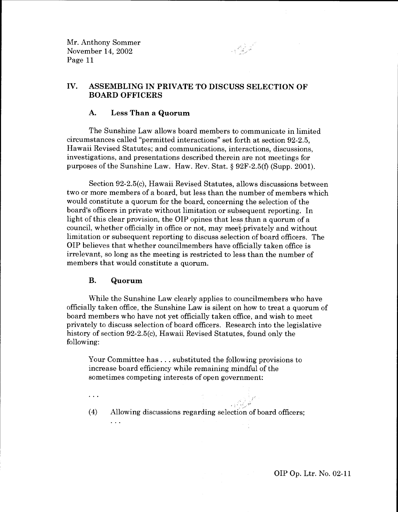IV. ASSEMBLING IN PRIVATE TO DISCUSS SELECTION OF BOARD OFFICERS

#### A. Less Than a Quorum

The Sunshine Law allows board members to communicate in limited circumstances called "permitted interactions" set forth at section 92-2.5, Hawaii Revised Statutes; and communications, interactions, discussions, investigations, and presentations described therein are not meetings for purposes of the Sunshine Law. Haw. Rev. Stat. g 92F-2.5(f) (Supp. 2001).

Section 92-2.5(c), Hawaii Revised Statutes, allows discussions between two or more members of a board, but less than the number of members which would constitute a quorum for the board, concerning the selection of the board's officers in private without limitation or subsequent reporting. In light of this clear provision, the OIP opines that less than a quorum of <sup>a</sup> council, whether officially in office or not, may meet privately and without limitation or subsequent reporting to discuss selection of board officers. The OIP believes that whether councilmembers have officially taken office is irrelevant, so long as the meeting is restricted to less than the number of members that would constitute a quorum.

#### B. Quorum

. . .

 $\ddotsc$ 

While the Sunshine Law clearly applies to councilmembers who have officially taken office, the Sunshine Law is silent on how to treat a quorum of board members who have not yet officially taken office, and wish to meet privately to discuss selection of board officers. Research into the legislative history of section 92-2.5(c), Hawaii Revised Statutes, found only the following:

Your Committee has . . . substituted the following provisions to increase board efficiency while remaining mindful of the sometimes competing interests of open government:

(4) Allowing discussions regarding selection of board officers

',;.'-,'l'

OIP Op. Ltr. No. 02-11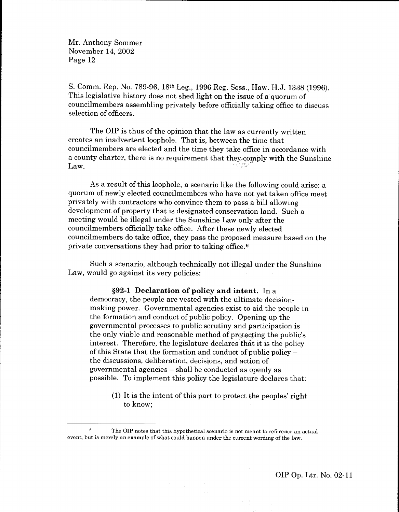S. Comm. Rep. No. 789-96, 18th Leg., 1996 Reg. Sess., Haw. H.J. 1838 (1996). This legislative history does not shed light on the issue of a quorum of councilmembers assembling privately before officially taking office to discuss selection of officers.

The OIP is thus of the opinion that the law as currently written creates an inadvertent loophole. That is, between the time that councilmembers are elected and the time they take office in accordance with a county charter, there is no requirement that they, comply with the Sunshine Law.

As a result of this loophole, a scenario like the following could arise: <sup>a</sup> quorum of newly elected councilmembers who have not yet taken office meet privately with contractors who convince them to pass a bill allowing development of property that is designated conservation land. Such <sup>a</sup> meeting would be illegal under the Sunshine Law only after the councilmembers officially take office. After these newly elected councilmembers do take office, they pass the proposed measure based on the private conversations they had prior to taking office.<sup>6</sup>

Such a scenario, although technically not illegal under the Sunshine Law, would go against its very policies:

592-1 Declaration of policy and intent. In <sup>a</sup> democracy, the people are vested with the ultimate decisionmaking power. Governmental agencies exist to aid the people in the formation and conduct of public policy. Opening up the governmental processes to public scrutiny and participation is the only viable and reasonable method of protecting the public's interest. Therefore, the legislature declares that it is the policy of this State that the formation and conduct of public policy the discussions, deliberation, decisions, and action of governmental agencies - shall be conducted as openly as possible. To implement this policy the legislature declares that:

> $(1)$  It is the intent of this part to protect the peoples' right to know;

 $6$  The OIP notes that this hypothetical scenario is not meant to reference an actual event, but is merely an example of what could happen under the current wording of the law.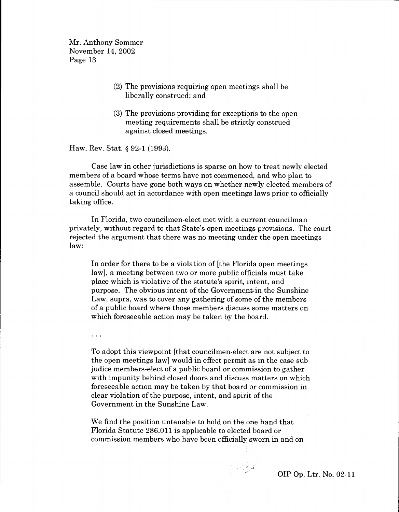- (2) The provisions requiring open meetings shall be liberally construed; and
- (3) The provisions providing for exceptions to the open meeting requirements shall be strictly construed against closed meetings.

Haw. Rev. Stat. \$ 92-1 (1993).

. . .

Case law in other jurisdictions is sparse on how to treat newly elected members of a board whose terms have not commenced, and who plan to assemble. Courts have gone both ways on whether newly elected members of a council should act in accordance with open meetings laws prior to officially taking office.

In Florida, two councilmen-elect met with a current councilman privately, without regard to that State's open meetings provisions. The court rejected the argument that there was no meeting under the open meetings law:

In order for there to be a violation of [the Florida open meetings] law], a meeting between two or more public officials must take place which is violative of the statute's spirit, intent, and purpose. The obvious intent of the Government,in the Sunshine Law, supra, was to cover any gathering of some of the members of a public board where those members discuss some matters on which foreseeable action may be taken by the board.

To adopt this viewpoint [that councilmen-elect are not subject to the open meetings law] would in effect permit as in the case sub judice members-elect of a public board or commission to gather with impunity behind closed doors and discuss matters on which foreseeable action may be taken by that board or commission in clear violation of the purpose, intent, and spirit of the Government in the Sunshine Law.

We find the position untenable to hold on the one hand that Florida Statute 286.011 is applicable to elected board or commission members who have been officially sworn in and on

 $\sim \nu_{\rm B} \lesssim \kappa^2$ 

OIP Op. Ltr. No. 02-Il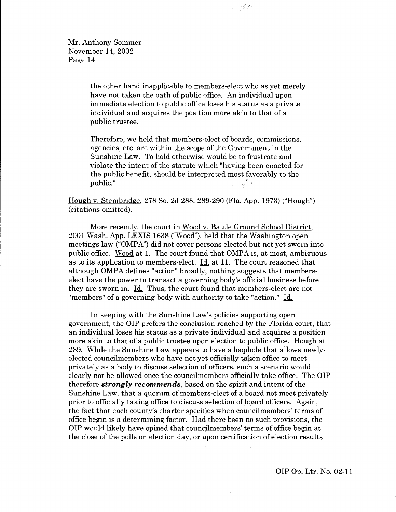the other hand inapplicable to members-elect who as yet merely have not taken the oath of public office. An individual upon immediate election to public office loses his status as a private individual and acquires the position more akin to that of a public trustee.

فللركبية

Therefore, we hold that members-elect of boards, commissions, agencies, etc. are within the scope of the Government in the Sunshine Law. To hold otherwise would be to frustrate and violate the intent of the statute which "having been enacted for the public benefit, should be interpreted most favorably to the  $\mathbf{public."}$ 

Hough v. Stembridee, 278 So. 2d 288, 289-290 (FIa. App. 1973) ("Housh") (citations omitted).

More recently, the court in Wood v. Battle Ground School District, 2001 Wash.App.LEXIS 1638 ("Wood"), held that the Washington open meetings law ("OMPA') did not cover persons elected but not yet sworn into public office. Wood at 1. The court found that OMPA is, at most, ambiguous as to its application to members-elect. Id. at 11. The court reasoned that although OMPA defines "action" broadly, nothing suggests that memberselect have the power to transact a governing body's official business before they are sworn in. Id. Thus, the court found that members-elect are not "members" of a governing body with authority to take "action." Id.

In keeping with the Sunshine Law's policies supporting open government, the OIP prefers the conclusion reached by the Florida court, that an individual loses his status as a private individual and acquires a position more akin to that of a public trustee upon election to public office. Hough at 289. While the Sunshine Law appears to have a loophole that allows newlyelected councilmembers who have not yet officially taken office to meet privately as a body to discuss selection of officers, such a scenario would clearly not be allowed once the councilmembers offrcially take office. The OIP therefore **strongly recommends**, based on the spirit and intent of the Sunshine Law, that a quorum of members-elect of a board not meet privately prior to officially taking office to discuss selection of board officers. Again, the fact that each county's charter specifies when councilmembers' terms of office begin is a determining factor. Had there been no such provisions, the OIP would likely have opined that councilmembers' terms of office begin at the close of the polls on election day, or upon certification of election results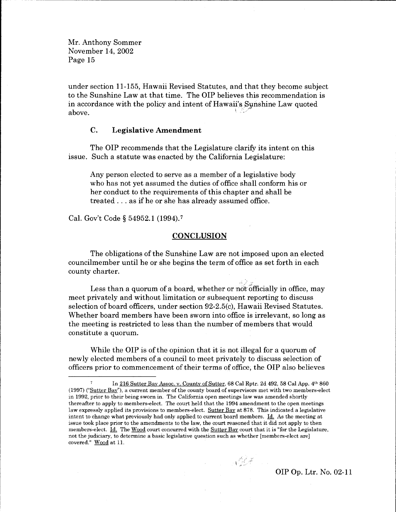under section 11-155, Hawaii Revised Statutes, and that they become subject to the Sunshine Law at that time. The OIP believes this recommendation is in accordance with the policy and intent of Hawaii's Sunshine Law quoted<br>above.

## C. Legislative Amendment

The OIP recommends that the Legislature clarify its intent on this issue. Such a statute was enacted by the California Legislature:

Any person elected to serve as a member of a legislative body who has not yet assumed the duties of office shall conform his or her conduct to the requirements of this chapter and shall be treated . . . as if he or she has already assumed office.

Cal. Gov't Code \$ 54952.1 (1994).7

#### **CONCLUSION**

The obligations of the Sunshine Law are not imposed upon an elected councilmember until he or she begins the term of office as set forth in each county charter.

Less than a quorum of a board, whether or not officially in office, may meet privately and without limitation or subsequent reporting to discuss selection of board officers, under section 92-2.5(c), Hawaii Revised Statutes. Whether board members have been sworn into office is irrelevant, so long as the meeting is restricted to less than the number of members that would constitute a quorum.

While the OIP is of the opinion that it is not illegal for a quorum of newly elected members of a council to meet privately to discuss selection of officers prior to commencement of their terms of office, the OIP also believes

In 216 Sutter Bay Assoc. v. County of Sutter, 68 Cal Rptr. 2d 492, 58 Cal App. 4th 860 (1997) ("Sutter Bay"), a current member of the county board of supervisors met with two members-elect in 1992, prior to their being sworn in. The California open meetings law was amended shortly thereafter to apply to members-elect. The court held that the 1994 amendment to the open meetings law expressly applied its provisions to members-elect. Sutter Bav at878. This indicated a legislative intent to change what previously had only applied to current board members. Id. As the meeting at issue took place prior to the amendments to the law, the court reasoned that it did not apply to then members-elect. Id. The Wood court concurred with the Sutter Bay court that it is "for the Legislature, not the judiciary, to determine a basic legislative question such as whether [members-elect are] covered." Wood at 11.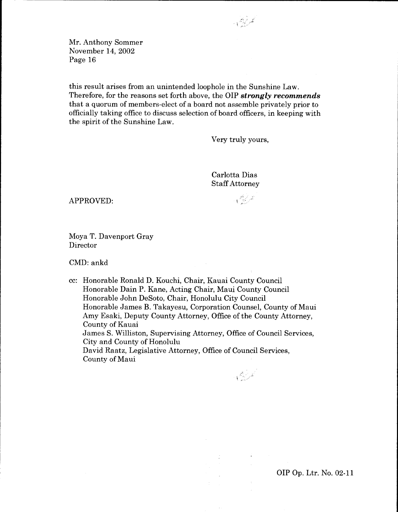this result arises from an unintended loophole in the Sunshine Law. Therefore, for the reasons set forth above, the OIP strongly recommends that a quorum of members-elect of a board not assemble privately prior to officially taking office to discuss selection of board officers, in keeping with the spirit of the Sunshine Law.

Very truly yours,

Carlotta Dias Staff Attorney

 $\triangle$ PPROVED:

Moya T. Davenport Gray Director

CMD: ankd

cc: Honorable Ronald D. Kouchi, Chair, Kauai County Council Honorable Dain P. Kane, Acting Chair, Maui County Council Honorable John DeSoto, Chair, Honolulu City Council Honorable James B. Takayesu, Corporation Counsel, County of Maui Amy Esaki, Deputy County Attorney, Office of the County Attorney, County of Kauai James S. Williston, Supervising Attorney, Office of Council Services, City and County of Honolulu David Raatz, Legislative Attorney, Office of Council Services, County of Maui

نسر مسيح<br>أمر مسيح

OIP Op. Ltr. No. 02-11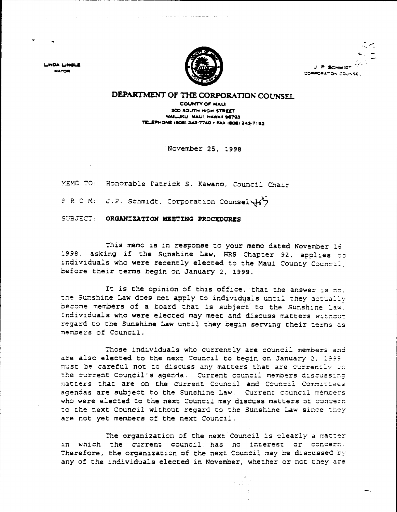LINDA LINGLE **MAYOR** 



ニベ P SCHMIDT CORPORATION COUNSEL

## DEPARTMENT OF THE CORPORATION COUNSEL

**COUNTY OF MAUI** 200 SOUTH HIGH STREET WAILUKU. MAUI, HAWAII 96793 **TELEPHONE (808) 243-7740 . FAX (808) 243-7152** 

November 25, 1998

MEMO TO: Honorable Patrick S. Kawano, Council Chair

F R O M: J.P. Schmidt, Corporation Counsel (1)

SUBJECT: ORGANIZATION MEETING PROCEDURES

This memo is in response to your memo dated November 16. 1998, asking if the Sunshine Law, HRS Chapter 92, applies to individuals who were recently elected to the Maui County Council, before their terms begin on January 2, 1999.

It is the opinion of this office, that the answer is no, the Sunshine Law does not apply to individuals until they actually become members of a board that is subject to the Sunshine Law. Individuals who were elected may meet and discuss matters without regard to the Sunshine Law until they begin serving their terms as members of Council.

Those individuals who currently are council members and are also elected to the next Council to begin on January 2, 1999, must be careful not to discuss any matters that are currently on the current Council's agenda. Current council members discussing matters that are on the current Council and Council Committees agendas are subject to the Sunshine Law. Current council members who were elected to the next Council may discuss matters of concern to the next Council without regard to the Sunshine Law since they are not yet members of the next Council.

The organization of the next Council is clearly a matter in which the current council has no interest or concern. Therefore, the organization of the next Council may be discussed by any of the individuals elected in November, whether or not they are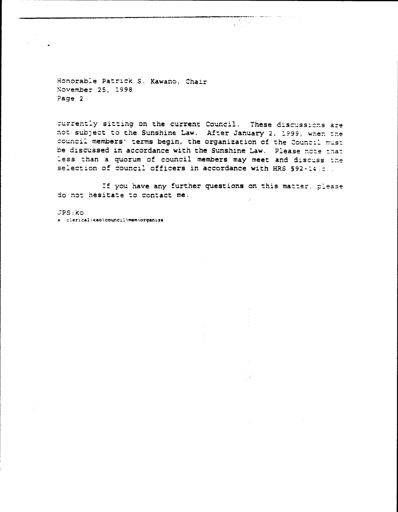Honorable Patrick S. Kawano, Chair November 25, 1998 Page 2

currently sitting on the current Council. These discussions are not subject to the Sunshine Law. After January 2, 1999, when the council members' terms begin, the organization of the Council must be discussed in accordance with the Sunshine Law. Please note that less than a quorum of council members may meet and discuss the selection of council officers in accordance with HRS §92-14 (c).

If you have any further questions on this matter, please do not hesitate to contact me.

 $JPS:  $\mathsf{KO}$$ s:\clerical\kao\council\mem\organize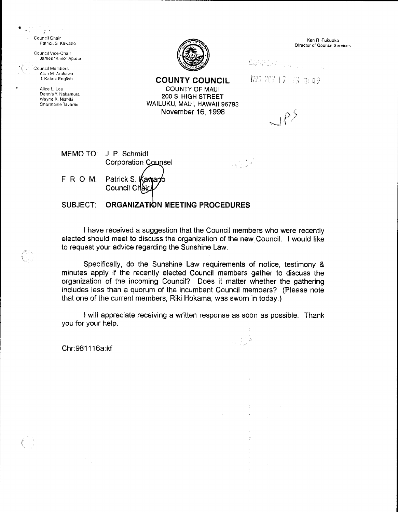$\frac{1}{\sqrt{2}}$ Council Chair Patrick S. Kawano

Council Vice-Chair James "Kimo" Apana

**Council Members** Alan M Arakawa J. Kalani English

 $\mathbb{C}$ 

Alice L. Lee Dennis Y. Nakamura Wayne K. Nishiki Charmaine Tavares



**COUNTY COUNCIL COUNTY OF MAUL** 

200 S. HIGH STREET

WAILUKU, MAUI, HAWAII 96793

November 16, 1998

Ken R. Fukuoka Director of Council Services

**CONPUTATION** 

493 707 17 高原49

 $u$ es

 $\label{eq:4} \frac{1}{\sqrt{2}}\left(\frac{1}{\sqrt{2}}\right)^{\frac{1}{2}}\sqrt{2}$ 

MEMO TO: J. P. Schmidt **Corporation Counsel** Patrick S. Kawano FROM: Council Chair

SUBJECT: ORGANIZATION MEETING PROCEDURES

I have received a suggestion that the Council members who were recently elected should meet to discuss the organization of the new Council. I would like to request your advice regarding the Sunshine Law.

Specifically, do the Sunshine Law requirements of notice, testimony & minutes apply if the recently elected Council members gather to discuss the organization of the incoming Council? Does it matter whether the gathering includes less than a quorum of the incumbent Council members? (Please note that one of the current members, Riki Hokama, was sworn in today.)

I will appreciate receiving a written response as soon as possible. Thank you for your help.

Chr:981116a:kf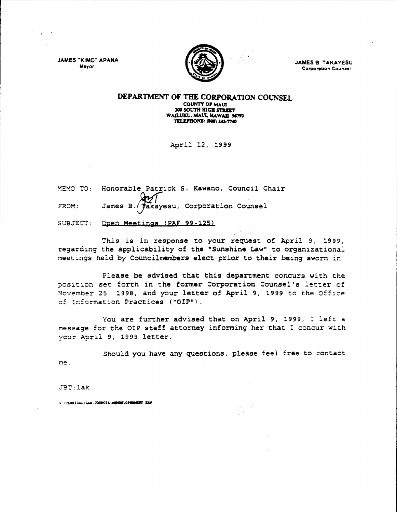**JAMES "KIMO" APANA** Mayor



**JAMES B. TAKAYESU Corporation Counsel** 

#### DEPARTMENT OF THE CORPORATION COUNSEL. COUNTY OF MAUI 200 SOUTH HIGH STREET WAILUKU, MAUI, HAWAII 96793 **TELEPHONE: (808) 243-7740**

April 12, 1999

|       | MEMO TO: Honorable Patrick S. Kawano, Council Chair |
|-------|-----------------------------------------------------|
| FROM: | James B. Takayesu, Corporation Counsel              |

SUBJECT: Open Meetings (PAF 99-125)

This is in response to your request of April 9, 1999, regarding the applicability of the "Sunshine Law" to organizational meetings held by Councilmembers elect prior to their being sworn in.

Please be advised that this department concurs with the position set forth in the former Corporation Counsel's letter of November 25, 1998, and your letter of April 9, 1999 to the Office of Information Practices ("OIP").

You are further advised that on April 9, 1999, I left a message for the OIP staff attorney informing her that I concur with your April 9, 1999 letter.

Should you have any questions, please feel free to contact me.

JBT:lak

S \CLERICAL\LAX\COUNCIL\HENDE\OPENHEET.EAM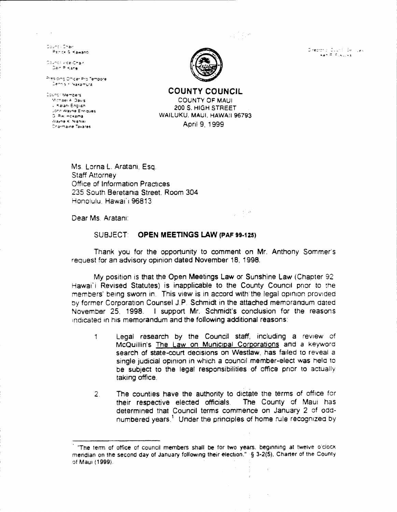upit pe

 $\gamma = 1/\sqrt{2}$ 

Director of Ducht (Selliges)<br>Then A Russian (S

Council Chair Patrick & Kawano

Council Arce-Chair Dain Pi-Kane

Presiding Officer Pro Tempore Dennis r. Nakamura i

Council Members Michael A. Davis - Kalani English John Wayne Enriques G. Riki Hokama Wayne K. Nishiki Charmaine Tavares



**COUNTY COUNCIL COUNTY OF MAUL** 200 S. HIGH STREET WAILUKU, MAUI, HAWAII 96793 April 9, 1999

Ms. Lorna L. Aratani, Esq. **Staff Attorney** Office of Information Practices 235 South Beretania Street, Room 304 Honolulu, Hawai'i 96813

Dear Ms. Aratani:

#### **SUBJECT: OPEN MEETINGS LAW (PAF 99-125)**

Thank you for the opportunity to comment on Mr. Anthony Sommer's request for an advisory opinion dated November 18, 1998.

My position is that the Open Meetings Law or Sunshine Law (Chapter 92) Hawai'i Revised Statutes) is inapplicable to the County Council prior to the members' being sworn in. This view is in accord with the legal opinion provided by former Corporation Counsel J.P. Schmidt in the attached memorandum dated November 25, 1998. I support Mr. Schmidt's conclusion for the reasons indicated in his memorandum and the following additional reasons:

- Legal research by the Council staff, including a review of  $\uparrow$ McQuillin's The Law on Municipal Corporations and a keyword search of state-court decisions on Westlaw, has failed to reveal a single judicial opinion in which a council member-elect was held to be subject to the legal responsibilities of office prior to actually taking office.
- The counties have the authority to dictate the terms of office for  $2<sub>1</sub>$ their respective elected officials. The County of Maui has determined that Council terms commence on January 2 of oddnumbered years.<sup>1</sup> Under the principles of home rule recognized by

 $\bar{z}$ 

<sup>&</sup>quot;The term of office of council members shall be for two years, beginning at twelve o'clock mendian on the second day of January following their election." § 3-2(5), Charter of the County of Maui (1999).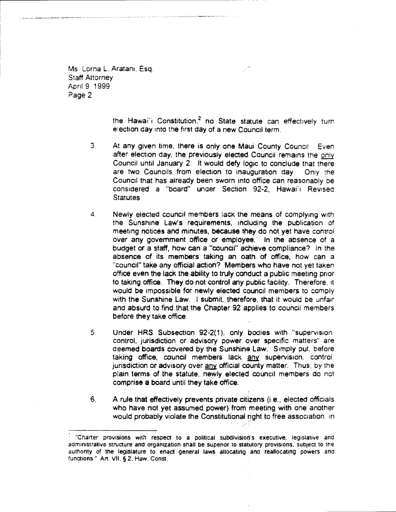Ms Lorna L. Aratani, Esq. Staff Attorney April 9, 1999 Page 2

> the Hawai'i Constitution,<sup>2</sup> no State statute can effectively turn. election day into the first day of a new Council term.

- $3<sub>1</sub>$ At any given time, there is only one Maui County Council. Even after election day, the previously elected Council remains the only Council until January 2. lt would defy logic to conclude that there are two Councils from election to inauguration day. Only the Council that has already been sworn into office can reasonably be considered a "board" under Section 92-2, Hawai'i Revised Statutes.
- $\overline{4}$ Newly elected council members lack the means of complying with the Sunshine Law's requirements, including the publication of meeting notices and minutes, because they do not yet have control over any government office or employea. ln the absence of <sup>a</sup> budget or e staff, how can a "coundi" achieve compliance? ln the absence of its members taking an oath of office, how can a "council" take any official action? Members who have not yet taken office even the lack the ability to truly conduct a public meeting prior to taking office. They do not control any public facility. Therefore, it would be impossible for newly elected council members to comply with the Sunshine Law. I submit, therefore, that it would be unfair and absurd to find that the Chapter 92 applies to council members before they take office.
- $5<sub>1</sub>$ Under HRS Subsection 92-2(1), only bodies with "supervision, control, jurisdiction or advisory power aver specific matters" are deemed boards covered by the Sunshine Law. Simply put, before taking office, council members lack any supervision, control. jurisdiction or advisory over any official county matter. Thus, by the plain terms of the statute, newly elected council members do not comprisa a board until they lake office.
- A rule that effectively prevents private citizens (i.e., elected officials who have not yet assumed power) from meeting with one another would probably violate the Constitutional right to free association, in  $6<sub>1</sub>$

<sup>&</sup>quot;Charter provisions with respect to a political subdivision's executive, legislative and administrative structure and organization shall be superior to statutory provisions, subject to the authority of the legislature to enact general laws allocating and reallocating powers and functions." Art. VII, § 2, Haw. Const.